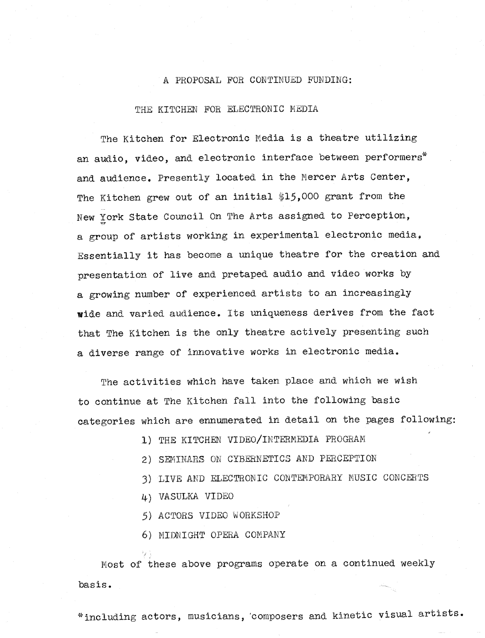#### A PROPOSAL FOR CONTINUED FUNDING:

#### THE KITCHEN FOR ELECTRONIC MEDIA

The Kitchen for Electronic Media is a theatre utilizing an audio, video, and electronic interface between performers\* and audience. Presently located in the Mercer Arts Center, The Kitchen grew out of an initial \$15,000 grant from the York State Council On The Arts assigned to Perception, a group of artists working in experimental electronic media, Essentially it has become a unique theatre for the creation and presentation of live and pretaped audio and video works by a growing number of experienced artists to an increasingly wide and varied audience. Its uniqueness derives from the fact that The Kitchen is the only theatre actively presenting such a diverse range of innovative works in electronic media .

The activities which have taken place and which we wish to continue at the Kitchen fall into the following basic categories which are ennumerated in detail on the pages following:

1) THE KITCHEN VIDEO/IN

- 2) SEMINARS ON CYBERNETICS AND PERCEPTION
- 3) LIVE AND ELECTRONIC CONTEMPORARY MUSIC CONCERTS
- 4) VASULKA VIDEO

5) ACTORS VIDEO WORKSHOP

6) MIDNIGHT OPERA COMPAN

Most of these above programs operate on a continued weekly basis .

\*including actors, musicians, `composers and kinetic visual artists .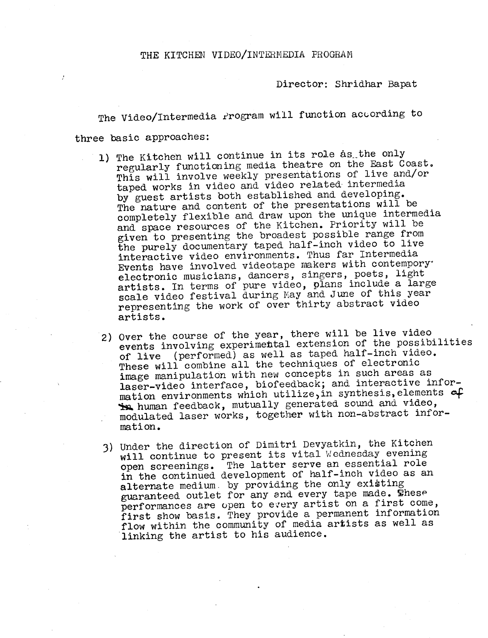Director: Shridhar Bapat

The Video/Intermedia Program will function according to three basic approaches:

- 1) The Kitchen will continue in its role as the only regularly functioning media theatre on the East Coast. This will involve weekly presentations of live and/or taped works in video and video related intermedia by guest artists both established and developing. The nature and content of the presentations will be completely flexible and draw upon the unique intermedia and space resources of the Kitchen. Priority will be given to presenting the broadest possible range from the purely documentary taped half-inch video to live interactive video environments. Thus far Intermedia Events have involved videotape makers with contemporyelectronic musicians, dancers, singers, poets, light<br>electronic musicians, dancers, singers, poets, light artists. In terms of pure video, plans include a large<br>artists. In factivel during May and lune of this year scale video festival during May and June of this year representing the work of over thirty abstract video artists .
- 2) Over the course of the year, there will be live video events involving experimettal extension of the possibilities of live (performed) as well as taped half-inch video . These will combine all the techniques of electronic image manipulation with new concepts in such areas as laser-video interface, biofeedback; and interactive information environments which utilize, in synthesis, elements of human feedback, mutually generated sound and video, modulated laser works, together with non-abstract information .
- 3) Under the direction of Dimitri Devyatkin, the Kitchen will continue to present its vital Wednesday evening open screenings. The latter serve an essential role in the continued development of half-inch video as an alternate medium by providing the only existing guaranteed outlet for any and every tape made. These performances are open to every artist on a first come, first show basis. They provide a permanent information flow within the community of media artists as well as linking the artist to his audience.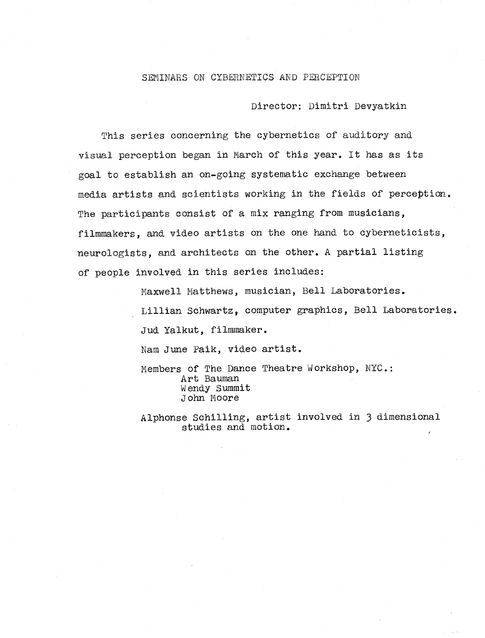#### SEMINARS ON CYBERNETICS AND PERCEPTION

Director: Dimitri Devyatkin

This series concerning the cybernetics of auditory and visual perception began in March of this year . It has as its goal to establish an on-going systematic exchange between media artists and scientists working in the fields of perception. The participants consist of a mix ranging from musicians, filmmakers, and video artists on the one hand to cyberneticis neurologists, and architects on the other. A partial listing of people involved in this series includes:

> Maxwell Matthews, musician Laboratories . Lillian Schwartz, computer graphics, Bell Laboratories. Jud Yalkut, filmmaker. Nam June Paik, video artist.

Members of The Dance Theatre Workshop, NYC.: Art Bauman Wendy Summit John Moore

lphonse Schilling, artist involved in 3 dimensional studies and motion .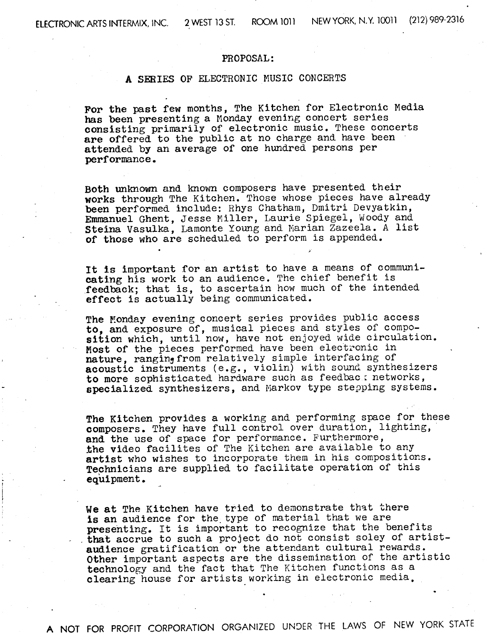#### PROPOSAL :

### A SERIES OF ELECTRONIC MUSIC CONCERTS

For the past few months, The Kitchen for Electronic Media has been presenting <sup>a</sup> Monday evening concert series consisting primarily of electronic music. These concerts are offered to the public at no charge and have been attended by an average of one hundred persons per performance .

Both unknovm and known composers have presented their works through The Kitchen. Those whose pieces have already been performed include: Rhys Chatham, Dmitri Devyatkin, Emmanuel Ghent, Jesse Miller, Laurie Spiegel, Woody and Steina Vasulka, Lamonte Young and Marian Zazeela . A list of those who are scheduled to perform is appended .

It Is important for an artist to have a means of communicating his work to an audience. The chief benefit is feedback; that is, to ascertain how much of the intended effect is actually being communicated .

The Monday evening concert series provides public access to, and exposure of, musical pieces and styles of composition which, until now, have not enjoyed wide circulation. Most of the pieces performed have been electronic in nature, ranginyfrom relatively simple interfacing of acoustic instruments (e.g., violin) with sound synthesizers to more sophisticated hardware such as feedbac : networks, specialized synthesizers, and Markov type stepping systems .

The Kitchen provides a working and performing space for these composers. They have full control over duration, lighting, and the use of space for performance. Furthermore, the video facilites of The Kitchen are available to any artist who wishes to incorporate them in his compositions. Technicians are supplied to facilitate operation of this equipment .

We at The Kitchen have tried to demonstrate that there is an audience for the type of material that we are presenting. It is important to recognize that the benefits that accrue to such a project do not consist soley of artistaudience gratification or the attendant cultural rewards. Other important aspects are the dissemination of the artistic technology and the fact that The Kitchen functions as a clearing house for artists working in electronic media.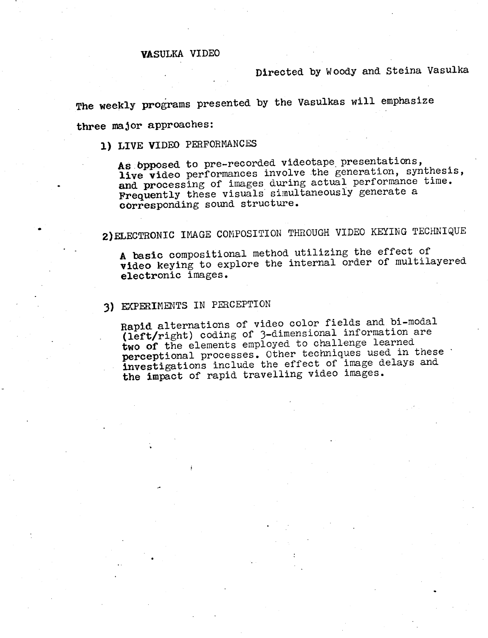## VASULKA VIDEO

## Directed by Woody and Steina Vasulka

The weekly programs presented by the Vasulkas will emphasize

three major approaches

# 1) LIVE VIDEO PERFORMANCES

As opposed to pre-recorded videotape presentations, live video performances involve the generation, synthesis, and processing of images during actual performance time. Frequently these visuals simultaneously generate a corresponding sound structure .

2)ELECTRONIC IMAGE COMPOSITION THROUGH VIDEO KEYING TECHNIQUE

A basic compositional method utilizing the effect of video keying to explore the internal order of multilayered electronic images .

## 3) EXPERIMENTS IN PERCEPTION

Rapid alternations of video color fields and bi-modal (left/right) coding of 3-dimensional information are two of the elements employed to challenge learned perceptional processes. Other techniques used in these investigations include the effect of image delays and the impact of rapid travelling video images.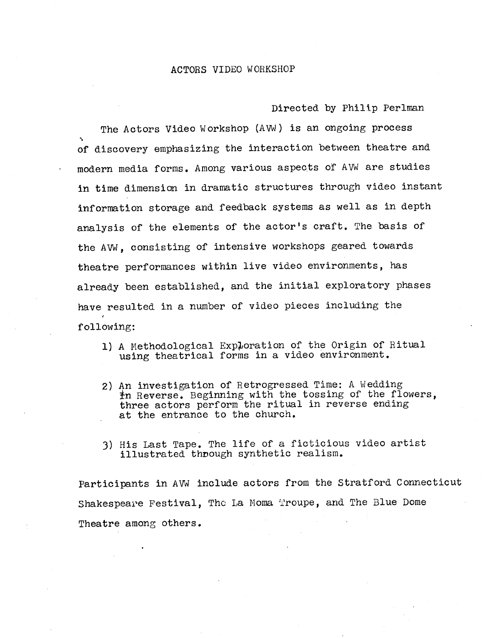#### ACTORS VIDEO WORKSHOP

Directed by Philip Perlman

The Actors Video Workshop (AVW) is an ongoing process of discovery emphasizing the interaction between theatre and modern media forms. Among various aspects of AVW are studies in time dimension in dramatic structures through video instant information storage and feedback systems as well as in depth analysis of the elements of the actor's craft. The basis of the AVW, consisting of intensive workshops geared towards theatre performances within live video environments, has already been established, and the initial exploratory phases have resulted in a number of video pieces including the following:

- 1) A Methodological Exploration of the Origin of Ritual using theatrical forms in a video environment.
- 2) An investigation of Retrogressed Time: A Wedding  $\pm$ n Reverse. Beginning with the tossing of the flowers, three actors perform the ritual in reverse ending at the entrance to the church.
- 3) His Last Tape. The life of a ficticious video artist illustrated through synthetic realism.

Participants in AVW include actors from the Stratford Connecticut Shakespeare Festival, The La Moma Troupe, and The Blue Dome Theatre among others.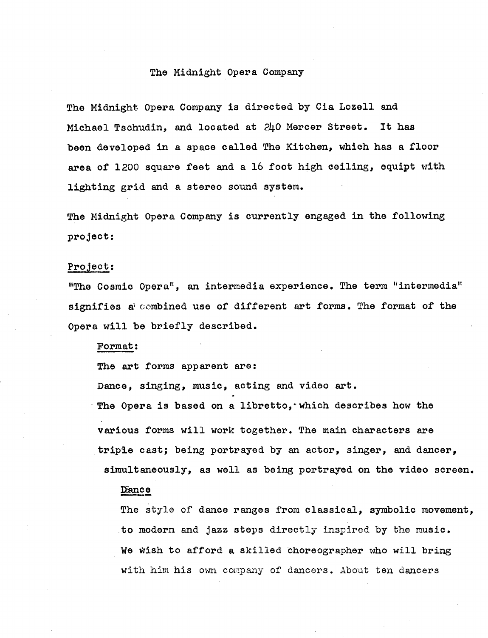#### The Midnight Opera Company

The Midnight Opera Company is directed by Cia Lozell and Michael Tschudin, and located at 240 Mercer Street. It has been developed in a space called The Kitchen, which has a floor area of 1200 square feet and a 16 foot high ceiling, equipt with lighting grid and a stereo sound system.

The Midnight Opera Company is currently engaged in the following project :

#### Project:

"The Cosmic Opera", an intermedia experience . The term "intermedia" signifies a combined use of different art forms. The format of the Opera will be briefly described .

#### Format

The art forms apparent are:

Dance, singing, music, acting and video art. The Opera is based on a libretto, which describes how the various forms will work together. The main characters are triple cast; being portrayed by an actor, singer, and dancer, simultaneously, as well as being portrayed on the video screen.

#### IEance

The style of dance ranges from classical, symbolic movement, to modern and jazz steps directly inspired by the music . We wish to afford a skilled choreographer who will bring with him his own company of dancers . About ten dancers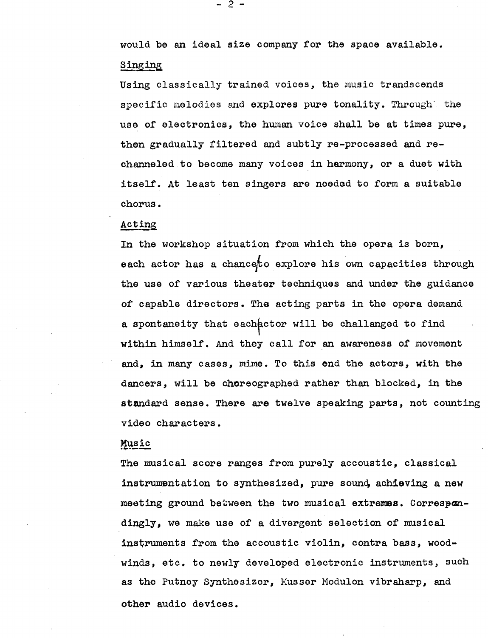would be an ideal size company for the space available . Sing

Using classically trained voices, the music trandscends specific melodies and explores pure tonality. Through the use of electronics, the human voice shall be at times pure, then gradually filtered and subtly re-processed and rechanneled .to become many voices in harmony, or a duet with itself. At least ten singers are needed to form a suitable chorus .

#### Acting

In the workshop situation from which the opera is born, each actor has a chanceto explore his own capacities through the use of various theater techniques and under the guidance of capable directors . The acting parts in the opera demand a spontaneity that each actor will be challanged to find within himself . And they call for an awareness of movement and, in many cases, mime. To this end the actors, with the dancers, will be choreographed rather than blocked, in the standard sense. There are twelve speaking parts, not counting video characters .

#### Music

The musical score ranges from purely accoustic, classical instrumentation to synthesized, pure sound, achieving a new meeting ground between the two musical extremes. Correspondingly, we make use of a divergent selection of musical instruments from the accoustic violin, contra bass, woodwinds, etc. to newly developed electronic instruments, such as the Putney Synthesizer, Musser Modulon vibraharp, and other audio devices .

- 2 -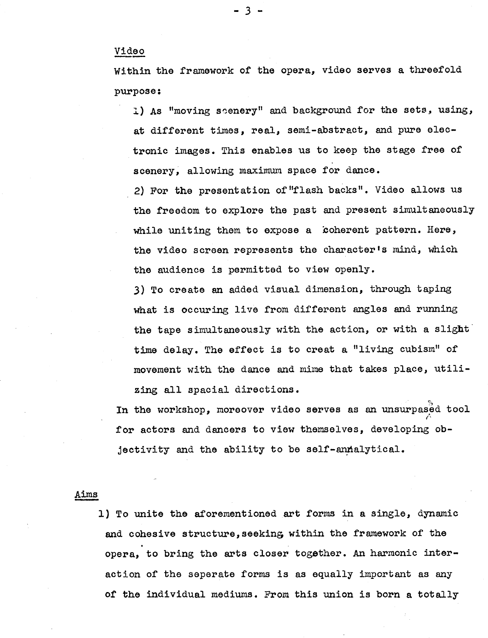### Video

Within the framework of the opera, video serves a threefold purpose :

1) As "moving seenery" and background for the sets, using, at different times, real, semi-abstract, and pure electronic images . This enables us to keep the stage free of scenery, allowing maximum space for dance.

2) For the presentation of "flash backs" . Video allows us the freedom to explore the past and present simultaneously while uniting them to expose a coherent pattern. Here, the video screen represents the character's mind, which the audience is permitted to view openly.

3) To create an added visual dimension, through taping what is occuring live from different angles and running the tape simultaneously with the action, or with a slight time delay. The effect is to creat a "living cubism" of movement with the dance and mime that takes place, utilizing all spacial directions.

In the workshop, moreover video serves as an unsurpased tool for actors and dancers to view themselves, developing objectivity and the ability to be self-annalytical.

#### Aims

1) To unite the aforementioned art forms in a single, dynamic and cohesive structure, seeking within the framework of the opera, to bring the arts closer together. An harmonic interaction of the separate forms is as equally important as any of the individual mediums . From this union is born a totally

3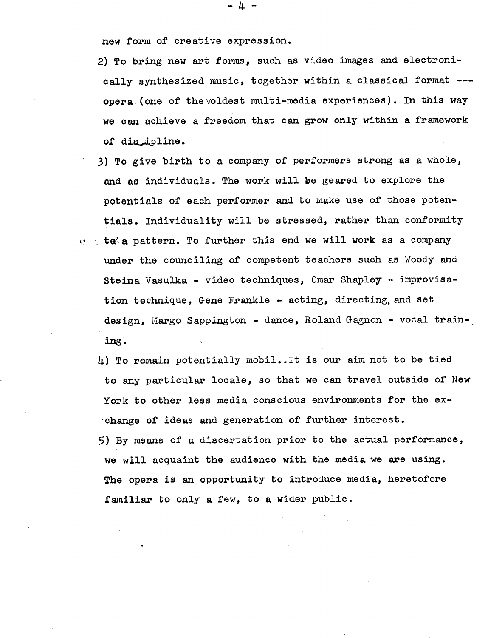new form of creative expression.

2) To bring new art forms, such as video images and electronically synthesized music, together within a classical format -- opera (one of the voldest multi-media experiences). In this way we can achieve a freedom that can grow only within a framework of dis\_ipline.

- 3) To give birth to a company of performers strong as a whole, and as individuals. The work will be geared to explore the potentials of each performer and to make use of those potentials . Individuality will be stressed, rather than conformity  $\mathbb{C}_U$  a teta pattern. To further this end we will work as a company under the counciling of competent teachers such as Woody and Steina Vasulka - video techniques, Omar Shapley - improvisation technique, Gene Frankle - acting, directing,and set design, Margo Sappington - dance, Roland Gagnon - vocal training .
	- 4) To remain potentially mobil . .It is our aim not to be tied to any particular locale, so that we can travel outside of New York to other less media conscious environments for the exchange of ideas and generation of further interest . 5) By means of a discertation prior to the actual performance,

we will acquaint the audience with the media we are using . The opera is an opportunity to introduce media, heretofore familiar to only a few, to a wider public.

- 4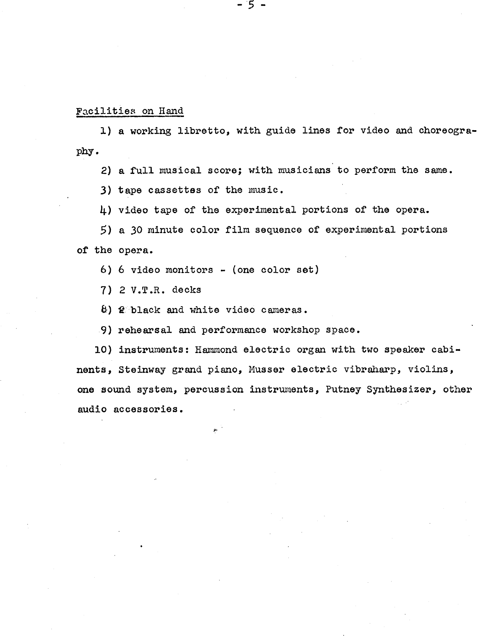#### Facilities on Hand

1) a working libretto, with guide lines for video and choreography .

 $5^-$ 

2) a full musical score; with musicians to perform the same.

3) tape cassettes of the music .

4) video tape of the experimental portions of the opera.

5) a 30 minute color film sequence of experimental portions of the opera.

6) 6 video monitors - (one color set)

7) 2 V.T.R. decks

'black and white video cameras .

9) rehearsal and performance workshop space .

10) instruments : Hammond electric organ with two speaker cabinents, Steinway grand piano, Musser electric vibraharp, violins, one sound system, percussion instruments, Putney Synthesizer, other audio accessories .